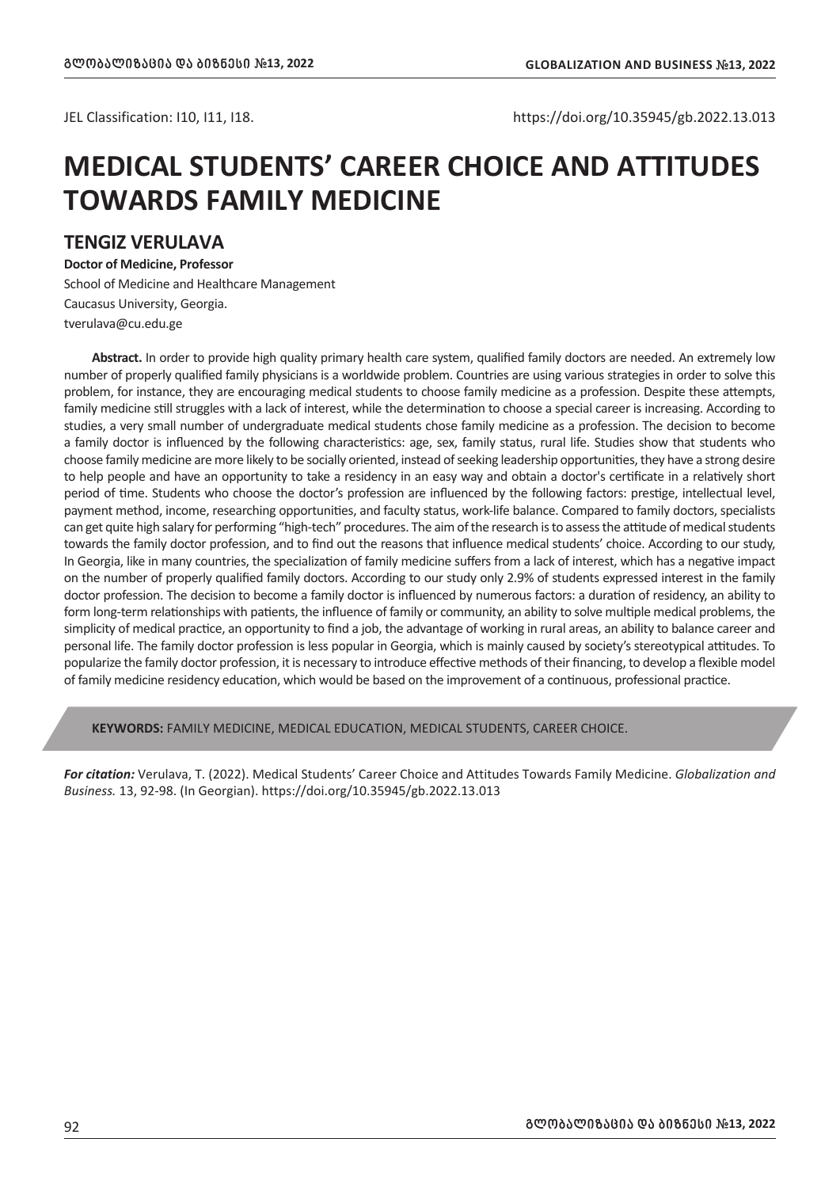JEL Classification: I10, I11, I18. https://doi.org/10.35945/gb.2022.13.013

## **MEDICAL STUDENTS' CAREER CHOICE AND ATTITUDES TOWARDS FAMILY MEDICINE**

### **TENGIZ VERULAVA**

**Doctor of Medicine, Professor**

School of Medicine and Healthcare Management Caucasus University, Georgia. tverulava@cu.edu.ge

**Abstract.** In order to provide high quality primary health care system, qualified family doctors are needed. An extremely low number of properly qualified family physicians is a worldwide problem. Countries are using various strategies in order to solve this problem, for instance, they are encouraging medical students to choose family medicine as a profession. Despite these attempts, family medicine still struggles with a lack of interest, while the determination to choose a special career is increasing. According to studies, a very small number of undergraduate medical students chose family medicine as a profession. The decision to become a family doctor is influenced by the following characteristics: age, sex, family status, rural life. Studies show that students who choose family medicine are more likely to be socially oriented, instead of seeking leadership opportunities, they have a strong desire to help people and have an opportunity to take a residency in an easy way and obtain a doctor's certificate in a relatively short period of time. Students who choose the doctor's profession are influenced by the following factors: prestige, intellectual level, payment method, income, researching opportunities, and faculty status, work-life balance. Compared to family doctors, specialists can get quite high salary for performing "high-tech" procedures. The aim of the research is to assess the attitude of medical students towards the family doctor profession, and to find out the reasons that influence medical students' choice. According to our study, In Georgia, like in many countries, the specialization of family medicine suffers from a lack of interest, which has a negative impact on the number of properly qualified family doctors. According to our study only 2.9% of students expressed interest in the family doctor profession. The decision to become a family doctor is influenced by numerous factors: a duration of residency, an ability to form long-term relationships with patients, the influence of family or community, an ability to solve multiple medical problems, the simplicity of medical practice, an opportunity to find a job, the advantage of working in rural areas, an ability to balance career and personal life. The family doctor profession is less popular in Georgia, which is mainly caused by society's stereotypical attitudes. To popularize the family doctor profession, it is necessary to introduce effective methods of their financing, to develop a flexible model of family medicine residency education, which would be based on the improvement of a continuous, professional practice.

**KEYWORDS:** FAMILY MEDICINE, MEDICAL EDUCATION, MEDICAL STUDENTS, CAREER CHOICE.

*For citation:* Verulava, T. (2022). Medical Students' Career Choice and Attitudes Towards Family Medicine. *Globalization and Business.* 13, 92-98. (In Georgian). https://doi.org/10.35945/gb.2022.13.013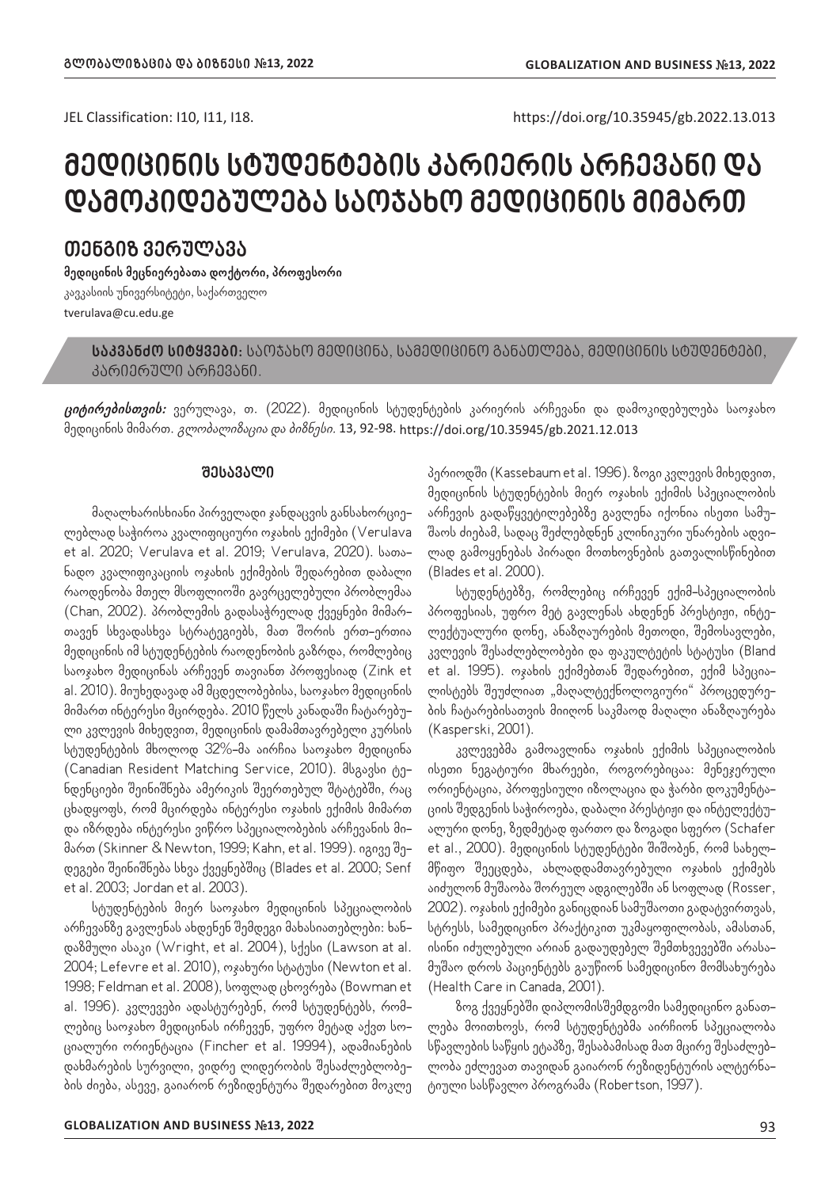JEL Classification: I10, I11, I18. https://doi.org/10.35945/gb.2022.13.013

# **მედიცინის სტუდენტების კარიერის არჩევანი და დამოკიდებულება საოჯახო მედიცინის მიმართ**

## **თენგიზ ვერულავა**

**მედიცინის მეცნიერებათა დოქტორი, პროფესორი** კავკასიის უნივერსიტეტი, საქართველო tverulava@cu.edu.ge

**საკვანძო სიტყვები:** საოჯახო მედიცინა, სამედიცინო განათლება, მედიცინის სტუდენტები, კარიერული არჩევანი.

**ციტირებისთვის:** ვერულავა, თ. (2022). მედიცინის სტუდენტების კარიერის არჩევანი და დამოკიდებულება საოჯახო მედიცინის მიმართ. *გლობალიზაცია და ბიზნესი.* 13, 92-98. https://doi.org/10.35945/gb.2021.12.013

#### **შესავალი**

მაღალხარისხიანი პირველადი ჯანდაცვის განსახორციელებლად საჭიროა კვალიფიციური ოჯახის ექიმები (Verulava et al. 2020; Verulava et al. 2019; Verulava, 2020). სათანადო კვალიფიკაციის ოჯახის ექიმების შედარებით დაბალი რაოდენობა მთელ მსოფლიოში გავრცელებული პრობლემაა (Chan, 2002). პრობლემის გადასაჭრელად ქვეყნები მიმართავენ სხვადასხვა სტრატეგიებს, მათ შორის ერთ-ერთია მედიცინის იმ სტუდენტების რაოდენობის გაზრდა, რომლებიც საოჯახო მედიცინას არჩევენ თავიანთ პროფესიად (Zink et al. 2010). მიუხედავად ამ მცდელობებისა, საოჯახო მედიცინის მიმართ ინტერესი მცირდება. 2010 წელს კანადაში ჩატარებული კვლევის მიხედვით, მედიცინის დამამთავრებელი კურსის სტუდენტების მხოლოდ 32%-მა აირჩია საოჯახო მედიცინა (Canadian Resident Matching Service, 2010). მსგავსი ტენდენციები შეინიშნება ამერიკის შეერთებულ შტატებში, რაც ცხადყოფს, რომ მცირდება ინტერესი ოჯახის ექიმის მიმართ და იზრდება ინტერესი ვიწრო სპეციალობების არჩევანის მიმართ (Skinner & Newton, 1999; Kahn, et al. 1999). იგივე შედეგები შეინიშნება სხვა ქვეყნებშიც (Blades et al. 2000; Senf et al. 2003; Jordan et al. 2003).

სტუდენტების მიერ საოჯახო მედიცინის სპეციალობის არჩევანზე გავლენას ახდენენ შემდეგი მახასიათებლები: ხანდაზმული ასაკი (Wright, et al. 2004), სქესი (Lawson at al. 2004; Lefevre et al. 2010), ოჯახური სტატუსი (Newton et al. 1998; Feldman et al. 2008), სოფლად ცხოვრება (Bowman et al. 1996). კვლევები ადასტურებენ, რომ სტუდენტებს, რომლებიც საოჯახო მედიცინას ირჩევენ, უფრო მეტად აქვთ სოციალური ორიენტაცია (Fincher et al. 19994), ადამიანების დახმარების სურვილი, ვიდრე ლიდერობის შესაძლებლობების ძიება, ასევე, გაიარონ რეზიდენტურა შედარებით მოკლე

პერიოდში (Kassebaum et al. 1996). ზოგი კვლევის მიხედვით, მედიცინის სტუდენტების მიერ ოჯახის ექიმის სპეციალობის არჩევის გადაწყვეტილებებზე გავლენა იქონია ისეთი სამუშაოს ძიებამ, სადაც შეძლებდნენ კლინიკური უნარების ადვილად გამოყენებას პირადი მოთხოვნების გათვალისწინებით (Blades et al. 2000).

სტუდენტებზე, რომლებიც ირჩევენ ექიმ-სპეციალობის პროფესიას, უფრო მეტ გავლენას ახდენენ პრესტიჟი, ინტელექტუალური დონე, ანაზღაურების მეთოდი, შემოსავლები, კვლევის შესაძლებლობები და ფაკულტეტის სტატუსი (Bland et al. 1995). ოჯახის ექიმებთან შედარებით, ექიმ სპეციალისტებს შეუძლიათ "მაღალტექნოლოგიური" პროცედურების ჩატარებისათვის მიიღონ საკმაოდ მაღალი ანაზღაურება (Kasperski, 2001).

კვლევებმა გამოავლინა ოჯახის ექიმის სპეციალობის ისეთი ნეგატიური მხარეები, როგორებიცაა: მენეჯერული ორიენტაცია, პროფესიული იზოლაცია და ჭარბი დოკუმენტაციის შედგენის საჭიროება, დაბალი პრესტიჟი და ინტელექტუალური დონე, ზედმეტად ფართო და ზოგადი სფერო (Schafer et al., 2000). მედიცინის სტუდენტები შიშობენ, რომ სახელმწიფო შეეცდება, ახლადდამთავრებული ოჯახის ექიმებს აიძულონ მუშაობა შორეულ ადგილებში ან სოფლად (Rosser, 2002). ოჯახის ექიმები განიცდიან სამუშაოთი გადატვირთვას, სტრესს, სამედიცინო პრაქტიკით უკმაყოფილობას, ამასთან, ისინი იძულებული არიან გადაუდებელ შემთხვევებში არასამუშაო დროს პაციენტებს გაუწიონ სამედიცინო მომსახურება (Health Care in Canada, 2001).

ზოგ ქვეყნებში დიპლომისშემდგომი სამედიცინო განათლება მოითხოვს, რომ სტუდენტებმა აირჩიონ სპეციალობა სწავლების საწყის ეტაპზე, შესაბამისად მათ მცირე შესაძლებლობა ეძლევათ თავიდან გაიარონ რეზიდენტურის ალტერნატიული სასწავლო პროგრამა (Robertson, 1997).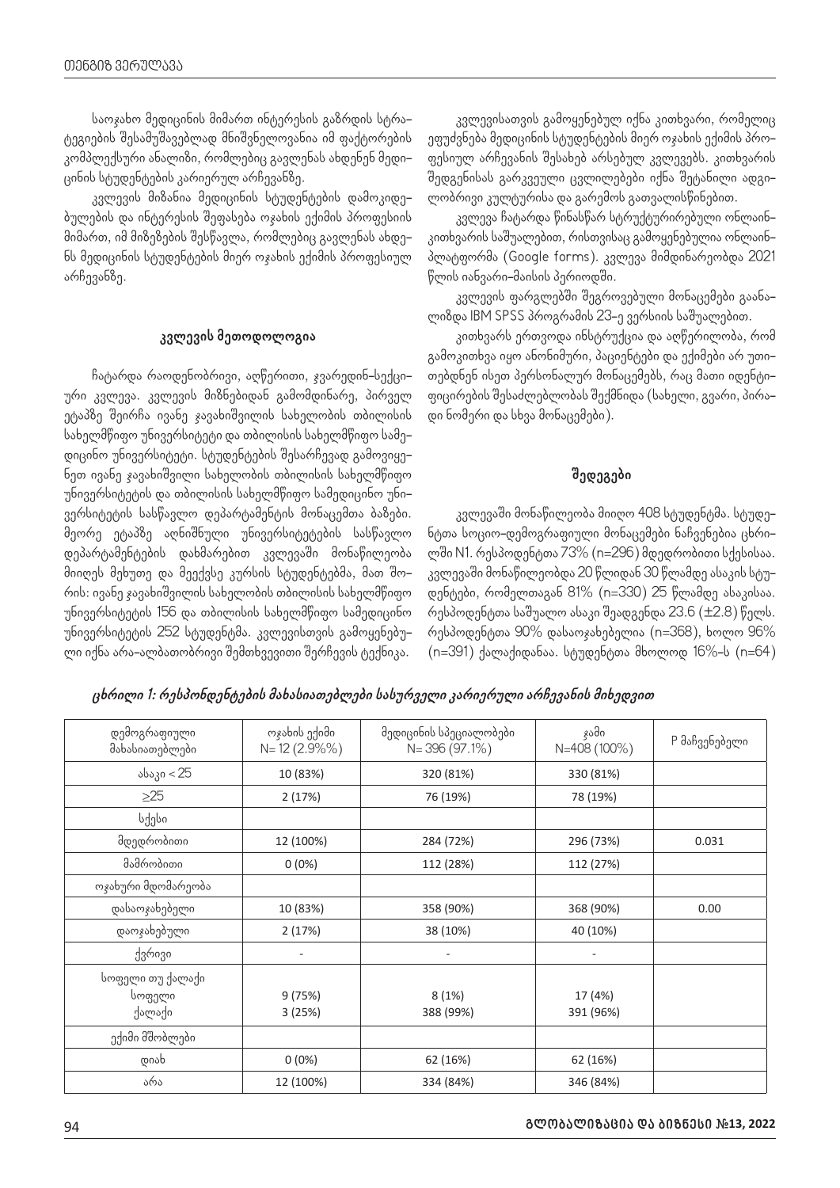საოჯახო მედიცინის მიმართ ინტერესის გაზრდის სტრატეგიების შესამუშავებლად მნიშვნელოვანია იმ ფაქტორების კომპლექსური ანალიზი, რომლებიც გავლენას ახდენენ მედიცინის სტუდენტების კარიერულ არჩევანზე.

კვლევის მიზანია მედიცინის სტუდენტების დამოკიდებულების და ინტერესის შეფასება ოჯახის ექიმის პროფესიის მიმართ, იმ მიზეზების შესწავლა, რომლებიც გავლენას ახდენს მედიცინის სტუდენტების მიერ ოჯახის ექიმის პროფესიულ არჩევანზე.

#### **კვლევის მეთოდოლოგია**

ჩატარდა რაოდენობრივი, აღწერითი, ჯვარედინ-სექციური კვლევა. კვლევის მიზნებიდან გამომდინარე, პირველ ეტაპზე შეირჩა ივანე ჯავახიშვილის სახელობის თბილისის სახელმწიფო უნივერსიტეტი და თბილისის სახელმწიფო სამედიცინო უნივერსიტეტი. სტუდენტების შესარჩევად გამოვიყენეთ ივანე ჯავახიშვილი სახელობის თბილისის სახელმწიფო უნივერსიტეტის და თბილისის სახელმწიფო სამედიცინო უნივერსიტეტის სასწავლო დეპარტამენტის მონაცემთა ბაზები. მეორე ეტაპზე აღნიშნული უნივერსიტეტების სასწავლო დეპარტამენტების დახმარებით კვლევაში მონაწილეობა მიიღეს მეხუთე და მეექვსე კურსის სტუდენტებმა, მათ შორის: ივანე ჯავახიშვილის სახელობის თბილისის სახელმწიფო უნივერსიტეტის 156 და თბილისის სახელმწიფო სამედიცინო უნივერსიტეტის 252 სტუდენტმა. კვლევისთვის გამოყენებული იქნა არა-ალბათობრივი შემთხვევითი შერჩევის ტექნიკა.

კვლევისათვის გამოყენებულ იქნა კითხვარი, რომელიც ეფუძვნება მედიცინის სტუდენტების მიერ ოჯახის ექიმის პროფესიულ არჩევანის შესახებ არსებულ კვლევებს. კითხვარის შედგენისას გარკვეული ცვლილებები იქნა შეტანილი ადგილობრივი კულტურისა და გარემოს გათვალისწინებით.

კვლევა ჩატარდა წინასწარ სტრუქტურირებული ონლაინ– კითხვარის საშუალებით, რისთვისაც გამოყენებულია ონლაინპლატფორმა (Google forms). კვლევა მიმდინარეობდა 2021 წლის იანვარი-მაისის პერიოდში.

კვლევის ფარგლებში შეგროვებული მონაცემები გაანალიზდა IBM SPSS პროგრამის 23-ე ვერსიის საშუალებით.

კითხვარს ერთვოდა ინსტრუქცია და აღწერილობა, რომ გამოკითხვა იყო ანონიმური, პაციენტები და ექიმები არ უთითებდნენ ისეთ პერსონალურ მონაცემებს, რაც მათი იდენტიფიცირების შესაძლებლობას შექმნიდა (სახელი, გვარი, პირადი ნომერი და სხვა მონაცემები).

## **შედეგები**

კვლევაში მონაწილეობა მიიღო 408 სტუდენტმა. სტუდენტთა სოციო-დემოგრაფიული მონაცემები ნაჩვენებია ცხრილში N1. რესპოდენტთა 73% (n=296) მდედრობითი სქესისაა. კვლევაში მონაწილეობდა 20 წლიდან 30 წლამდე ასაკის სტუდენტები, რომელთაგან 81% (n=330) 25 წლამდე ასაკისაა. რესპოდენტთა საშუალო ასაკი შეადგენდა 23.6 (±2.8) წელს. რესპოდენტთა 90% დასაოჯახებელია (n=368), ხოლო 96% (n=391) ქალაქიდანაა. სტუდენტთა მხოლოდ 16%-ს (n=64)

**ცხრილი 1: რესპონდენტების მახასიათებლები სასურველი კარიერული არჩევანის მიხედვით**

| დემოგრაფიული<br>მახასიათებლები | ოჯახის ექიმი<br>$N = 12(2.9\%)$ | მედიცინის სპეციალობები<br>$N = 396(97.1\%)$ | ჯამი<br>N=408 (100%)     | P მაჩვენებელი |
|--------------------------------|---------------------------------|---------------------------------------------|--------------------------|---------------|
| ასაკი < 25                     | 10 (83%)                        | 320 (81%)                                   | 330 (81%)                |               |
| $\geq$ 25                      | 2 (17%)                         | 76 (19%)                                    | 78 (19%)                 |               |
| სქესი                          |                                 |                                             |                          |               |
| მდედრობითი                     | 12 (100%)                       | 284 (72%)                                   | 296 (73%)                | 0.031         |
| მამრობითი                      | $0(0\%)$                        | 112 (28%)                                   | 112 (27%)                |               |
| ოჯახური მდომარეობა             |                                 |                                             |                          |               |
| დასაოჯახებელი                  | 10 (83%)                        | 358 (90%)                                   | 368 (90%)                | 0.00          |
| დაოჯახებული                    | 2(17%)                          | 38 (10%)                                    | 40 (10%)                 |               |
| ქვრივი                         | $\overline{\phantom{a}}$        | -                                           | $\overline{\phantom{a}}$ |               |
| სოფელი თუ ქალაქი<br>სოფელი     | 9 (75%)                         | 8(1%)                                       | 17 (4%)                  |               |
| ქალაქი                         | 3 (25%)                         | 388 (99%)                                   | 391 (96%)                |               |
| ექიმი მშობლები                 |                                 |                                             |                          |               |
| დიახ                           | $0(0\%)$                        | 62 (16%)                                    | 62 (16%)                 |               |
| არა                            | 12 (100%)                       | 334 (84%)                                   | 346 (84%)                |               |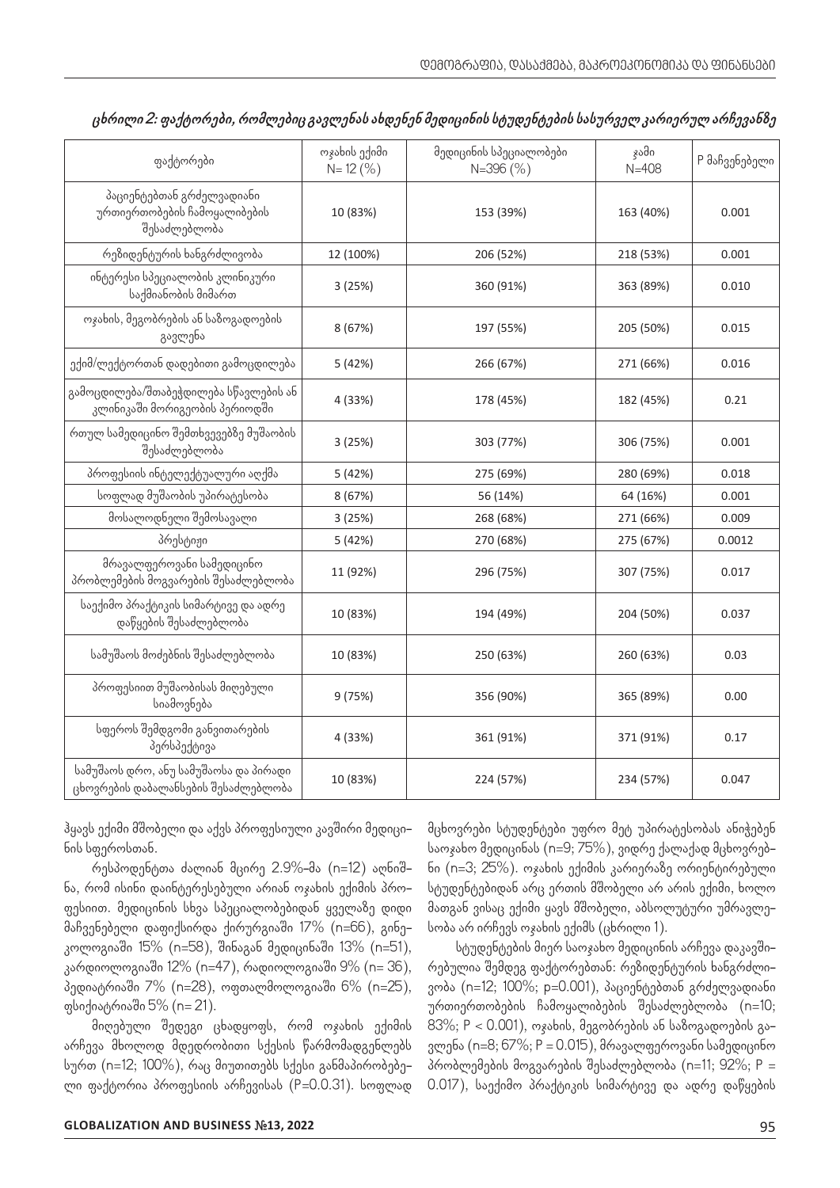| ფაქტორები                                                                    | ოჯახის ექიმი<br>$N = 12(%)$ | მედიცინის სპეციალობები<br>$N = 396(%)$ | ჯამი<br>$N = 408$ | P მაჩვენებელი |
|------------------------------------------------------------------------------|-----------------------------|----------------------------------------|-------------------|---------------|
| პაციენტებთან გრძელვადიანი<br>ურთიერთობების ჩამოყალიბების<br>შესაძლებლობა     | 10 (83%)                    | 153 (39%)                              | 163 (40%)         | 0.001         |
| რეზიდენტურის ხანგრძლივობა                                                    | 12 (100%)                   | 206 (52%)                              | 218 (53%)         | 0.001         |
| ინტერესი სპეციალობის კლინიკური<br>საქმიანობის მიმართ                         | 3(25%)                      | 360 (91%)                              | 363 (89%)         | 0.010         |
| ოჯახის, მეგობრების ან საზოგადოების<br>გავლენა                                | 8 (67%)                     | 197 (55%)                              | 205 (50%)         | 0.015         |
| ექიმ/ლექტორთან დადებითი გამოცდილება                                          | 5 (42%)                     | 266 (67%)                              | 271 (66%)         | 0.016         |
| გამოცდილება/შთაბეჭდილება სწავლების ან<br>კლინიკაში მორიგეობის პერიოდში       | 4 (33%)                     | 178 (45%)                              | 182 (45%)         | 0.21          |
| რთულ სამედიცინო შემთხვევებზე მუშაობის<br>შესაძლებლობა                        | 3 (25%)                     | 303 (77%)                              | 306 (75%)         | 0.001         |
| პროფესიის ინტელექტუალური აღქმა                                               | 5 (42%)                     | 275 (69%)                              | 280 (69%)         | 0.018         |
| სოფლად მუშაობის უპირატესობა                                                  | 8(67%)                      | 56 (14%)                               | 64 (16%)          | 0.001         |
| მოსალოდნელი შემოსავალი                                                       | 3(25%)                      | 268 (68%)                              | 271 (66%)         | 0.009         |
| პრესტიჟი                                                                     | 5 (42%)                     | 270 (68%)                              | 275 (67%)         | 0.0012        |
| მრავალფეროვანი სამედიცინო<br>პრობლემების მოგვარების შესაძლებლობა             | 11 (92%)                    | 296 (75%)                              | 307 (75%)         | 0.017         |
| საექიმო პრაქტიკის სიმარტივე და ადრე<br>დაწყების შესაძლებლობა                 | 10 (83%)                    | 194 (49%)                              | 204 (50%)         | 0.037         |
| სამუშაოს მოძებნის შესაძლებლობა                                               | 10 (83%)                    | 250 (63%)                              | 260 (63%)         | 0.03          |
| პროფესიით მუშაობისას მიღებული<br>სიამოვნება                                  | 9 (75%)                     | 356 (90%)                              | 365 (89%)         | 0.00          |
| სფეროს შემდგომი განვითარების<br>პერსპექტივა                                  | 4 (33%)                     | 361 (91%)                              | 371 (91%)         | 0.17          |
| სამუშაოს დრო, ანუ სამუშაოსა და პირადი<br>ცხოვრების დაბალანსების შესაძლებლობა | 10 (83%)                    | 224 (57%)                              | 234 (57%)         | 0.047         |

| ცხრილი 2: ფაქტორები, რომლებიც გავლენას ახდენენ მედიცინის სტუდენტების სასურველ კარიერულ არჩევანზე |  |  |  |
|--------------------------------------------------------------------------------------------------|--|--|--|
|                                                                                                  |  |  |  |

ჰყავს ექიმი მშობელი და აქვს პროფესიული კავშირი მედიცინის სფეროსთან.

რესპოდენტთა ძალიან მცირე 2.9%-მა (n=12) აღნიშნა, რომ ისინი დაინტერესებული არიან ოჯახის ექიმის პროფესიით. მედიცინის სხვა სპეციალობებიდან ყველაზე დიდი მაჩვენებელი დაფიქსირდა ქირურგიაში 17% (n=66), გინეკოლოგიაში 15% (n=58), შინაგან მედიცინაში 13% (n=51), კარდიოლოგიაში 12% (n=47), რადიოლოგიაში 9% (n= 36), პედიატრიაში 7% (n=28), ოფთალმოლოგიაში 6% (n=25), ფსიქიატრიაში 5% (n= 21).

მიღებული შედეგი ცხადყოფს, რომ ოჯახის ექიმის არჩევა მხოლოდ მდედრობითი სქესის წარმომადგენლებს სურთ (n=12; 100%), რაც მიუთითებს სქესი განმაპირობებელი ფაქტორია პროფესიის არჩევისას (P=0.0.31). სოფლად მცხოვრები სტუდენტები უფრო მეტ უპირატესობას ანიჭებენ საოჯახო მედიცინას (n=9; 75%), ვიდრე ქალაქად მცხოვრებნი (n=3; 25%). ოჯახის ექიმის კარიერაზე ორიენტირებული სტუდენტებიდან არც ერთის მშობელი არ არის ექიმი, ხოლო მათგან ვისაც ექიმი ყავს მშობელი, აბსოლუტური უმრავლესობა არ ირჩევს ოჯახის ექიმს (ცხრილი 1).

სტუდენტების მიერ საოჯახო მედიცინის არჩევა დაკავშირებულია შემდეგ ფაქტორებთან: რეზიდენტურის ხანგრძლივობა (n=12; 100%; p=0.001), პაციენტებთან გრძელვადიანი ურთიერთობების ჩამოყალიბების შესაძლებლობა (n=10; 83%; P < 0.001), ოჯახის, მეგობრების ან საზოგადოების გავლენა (n=8; 67%; P = 0.015), მრავალფეროვანი სამედიცინო პრობლემების მოგვარების შესაძლებლობა (n=11; 92%; P = 0.017), საექიმო პრაქტიკის სიმარტივე და ადრე დაწყების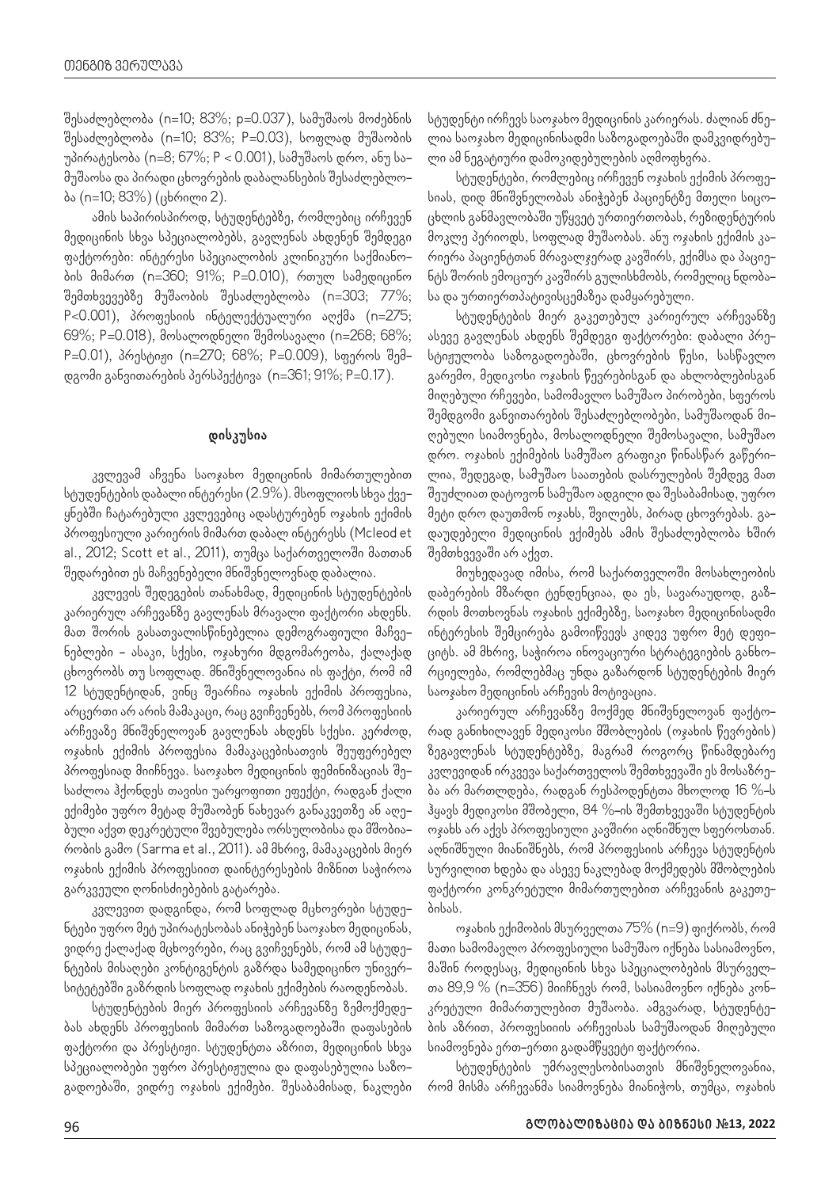შესაძლებლობა (n=10; 83%; p=0.037), სამუშაოს მოძებნის შესაძლებლობა (n=10; 83%; P=0.03), სოფლად მუშაობის უპირატესობა (n=8; 67%; P < 0.001), სამუშაოს დრო, ანუ სამუშაოსა და პირადი ცხოვრების დაბალანსების შესაძლებლობა (n=10; 83%) (ცხრილი 2).

ამის საპირისპიროდ, სტუდენტებზე, რომლებიც ირჩევენ მედიცინის სხვა სპეციალობებს, გავლენას ახდენენ შემდეგი ფაქტორები: ინტერესი სპეციალობის კლინიკური საქმიანობის მიმართ (n=360; 91%; P=0.010), რთულ სამედიცინო შემთხვევებზე მუშაობის შესაძლებლობა (n=303; 77%; P<0.001), პროფესიის ინტელექტუალური აღქმა (n=275; 69%; P=0.018), მოსალოდნელი შემოსავალი (n=268; 68%; P=0.01), პრესტიჟი (n=270; 68%; P=0.009), სფეროს შემდგომი განვითარების პერსპექტივა (n=361; 91%; P=0.17).

### **დისკუსია**

კვლევამ აჩვენა საოჯახო მედიცინის მიმართულებით სტუდენტების დაბალი ინტერესი (2.9%). მსოფლიოს სხვა ქვეყნებში ჩატარებული კვლევებიც ადასტურებენ ოჯახის ექიმის პროფესიული კარიერის მიმართ დაბალ ინტერესს (Mcleod et al., 2012; Scott et al., 2011), თუმცა საქართველოში მათთან შედარებით ეს მაჩვენებელი მნიშვნელოვნად დაბალია.

კვლევის შედეგების თანახმად, მედიცინის სტუდენტების კარიერულ არჩევანზე გავლენას მრავალი ფაქტორი ახდენს. მათ შორის გასათვალისწინებელია დემოგრაფიული მაჩვენებლები - ასაკი, სქესი, ოჯახური მდგომარეობა, ქალაქად ცხოვრობს თუ სოფლად. მნიშვნელოვანია ის ფაქტი, რომ იმ 12 სტუდენტიდან, ვინც შეარჩია ოჯახის ექიმის პროფესია, არცერთი არ არის მამაკაცი, რაც გვიჩვენებს, რომ პროფესიის არჩევაზე მნიშვნელოვან გავლენას ახდენს სქესი. კერძოდ, ოჯახის ექიმის პროფესია მამაკაცებისათვის შეუფერებელ პროფესიად მიიჩნევა. საოჯახო მედიცინის ფემინიზაციას შესაძლოა ჰქონდეს თავისი უარყოფითი ეფექტი, რადგან ქალი ექიმები უფრო მეტად მუშაობენ ნახევარ განაკვეთზე ან აღებული აქვთ დეკრეტული შვებულება ორსულობისა და მშობიარობის გამო (Sarma et al., 2011). ამ მხრივ, მამაკაცების მიერ ოჯახის ექიმის პროფესიით დაინტერესების მიზნით საჭიროა გარკვეული ღონისძიებების გატარება.

კვლევით დადგინდა, რომ სოფლად მცხოვრები სტუდენტები უფრო მეტ უპირატესობას ანიჭებენ საოჯახო მედიცინას, ვიდრე ქალაქად მცხოვრები, რაც გვიჩვენებს, რომ ამ სტუდენტების მისაღები კონტიგენტის გაზრდა სამედიცინო უნივერსიტეტებში გაზრდის სოფლად ოჯახის ექიმების რაოდენობას.

სტუდენტების მიერ პროფესიის არჩევანზე ზემოქმედებას ახდენს პროფესიის მიმართ საზოგადოებაში დაფასების ფაქტორი და პრესტიჟი. სტუდენტთა აზრით, მედიცინის სხვა სპეციალობები უფრო პრესტიჟულია და დაფასებულია საზოგადოებაში, ვიდრე ოჯახის ექიმები. შესაბამისად, ნაკლები

სტუდენტი ირჩევს საოჯახო მედიცინის კარიერას. ძალიან ძნელია საოჯახო მედიცინისადმი საზოგადოებაში დამკვიდრებული ამ ნეგატიური დამოკიდებულების აღმოფხვრა.

სტუდენტები, რომლებიც ირჩევენ ოჯახის ექიმის პროფესიას, დიდ მნიშვნელობას ანიჭებენ პაციენტზე მთელი სიცოცხლის განმავლობაში უწყვეტ ურთიერთობას, რეზიდენტურის მოკლე პერიოდს, სოფლად მუშაობას. ანუ ოჯახის ექიმის კარიერა პაციენტთან მრავალჯერად კავშირს, ექიმსა და პაციენტს შორის ემოციურ კავშირს გულისხმობს, რომელიც ნდობასა და ურთიერთპატივისცემაზეა დამყარებული.

სტუდენტების მიერ გაკეთებულ კარიერულ არჩევანზე ასევე გავლენას ახდენს შემდეგი ფაქტორები: დაბალი პრესტიჟულობა საზოგადოებაში, ცხოვრების წესი, სასწავლო გარემო, მედიკოსი ოჯახის წევრებისგან და ახლობლებისგან მიღებული რჩევები, სამომავლო სამუშაო პირობები, სფეროს შემდგომი განვითარების შესაძლებლობები, სამუშაოდან მიღებული სიამოვნება, მოსალოდნელი შემოსავალი, სამუშაო დრო. ოჯახის ექიმების სამუშაო გრაფიკი წინასწარ გაწერილია, შედეგად, სამუშაო საათების დასრულების შემდეგ მათ შეუძლიათ დატოვონ სამუშაო ადგილი და შესაბამისად, უფრო მეტი დრო დაუთმონ ოჯახს, შვილებს, პირად ცხოვრებას. გადაუდებელი მედიცინის ექიმებს ამის შესაძლებლობა ხშირ შემთხვევაში არ აქვთ.

მიუხედავად იმისა, რომ საქართველოში მოსახლეობის დაბერების მზარდი ტენდენციაა, და ეს, სავარაუდოდ, გაზრდის მოთხოვნას ოჯახის ექიმებზე, საოჯახო მედიცინისადმი ინტერესის შემცირება გამოიწვევს კიდევ უფრო მეტ დეფიციტს. ამ მხრივ, საჭიროა ინოვაციური სტრატეგიების განხორციელება, რომლებმაც უნდა გაზარდონ სტუდენტების მიერ საოჯახო მედიცინის არჩევის მოტივაცია.

კარიერულ არჩევანზე მოქმედ მნიშვნელოვან ფაქტორად განიხილავენ მედიკოსი მშობლების (ოჯახის წევრების) ზეგავლენას სტუდენტებზე, მაგრამ როგორც წინამდებარე კვლევიდან ირკვევა საქართველოს შემთხვევაში ეს მოსაზრება არ მართლდება, რადგან რესპოდენტთა მხოლოდ 16 %-ს ჰყავს მედიკოსი მშობელი, 84 %-ის შემთხვევაში სტუდენტის ოჯახს არ აქვს პროფესიული კავშირი აღნიშნულ სფეროსთან. აღნიშნული მიანიშნებს, რომ პროფესიის არჩევა სტუდენტის სურვილით ხდება და ასევე ნაკლებად მოქმედებს მშობლების ფაქტორი კონკრეტული მიმართულებით არჩევანის გაკეთებისას.

ოჯახის ექიმობის მსურველთა 75% (n=9) ფიქრობს, რომ მათი სამომავლო პროფესიული სამუშაო იქნება სასიამოვნო, მაშინ როდესაც, მედიცინის სხვა სპეციალობების მსურველთა 89,9 % (n=356) მიიჩნევს რომ, სასიამოვნო იქნება კონკრეტული მიმართულებით მუშაობა. ამგვარად, სტუდენტების აზრით, პროფესიიის არჩევისას სამუშაოდან მიღებული სიამოვნება ერთ-ერთი გადამწყვეტი ფაქტორია.

სტუდენტების უმრავლესობისათვის მნიშვნელოვანია, რომ მისმა არჩევანმა სიამოვნება მიანიჭოს, თუმცა, ოჯახის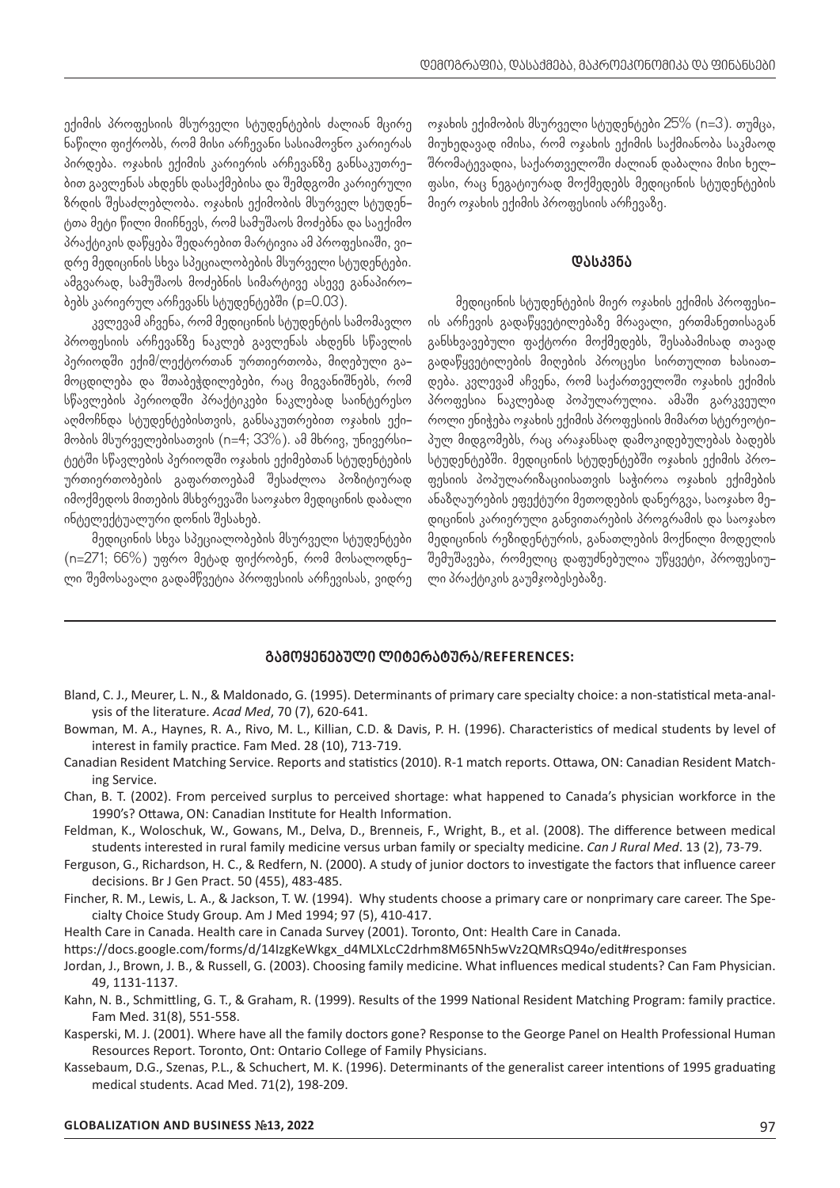ექიმის პროფესიის მსურველი სტუდენტების ძალიან მცირე ნაწილი ფიქრობს, რომ მისი არჩევანი სასიამოვნო კარიერას პირდება. ოჯახის ექიმის კარიერის არჩევანზე განსაკუთრებით გავლენას ახდენს დასაქმებისა და შემდგომი კარიერული ზრდის შესაძლებლობა. ოჯახის ექიმობის მსურველ სტუდენტთა მეტი წილი მიიჩნევს, რომ სამუშაოს მოძებნა და საექიმო პრაქტიკის დაწყება შედარებით მარტივია ამ პროფესიაში, ვიდრე მედიცინის სხვა სპეციალობების მსურველი სტუდენტები. ამგვარად, სამუშაოს მოძებნის სიმარტივე ასევე განაპირობებს კარიერულ არჩევანს სტუდენტებში (p=0.03).

კვლევამ აჩვენა, რომ მედიცინის სტუდენტის სამომავლო პროფესიის არჩევანზე ნაკლებ გავლენას ახდენს სწავლის პერიოდში ექიმ/ლექტორთან ურთიერთობა, მიღებული გამოცდილება და შთაბეჭდილებები, რაც მიგვანიშნებს, რომ სწავლების პერიოდში პრაქტიკები ნაკლებად საინტერესო აღმოჩნდა სტუდენტებისთვის, განსაკუთრებით ოჯახის ექიმობის მსურველებისათვის (n=4; 33%). ამ მხრივ, უნივერსიტეტში სწავლების პერიოდში ოჯახის ექიმებთან სტუდენტების ურთიერთობების გაფართოებამ შესაძლოა პოზიტიურად იმოქმედოს მითების მსხვრევაში საოჯახო მედიცინის დაბალი ინტელექტუალური დონის შესახებ.

მედიცინის სხვა სპეციალობების მსურველი სტუდენტები (n=271; 66%) უფრო მეტად ფიქრობენ, რომ მოსალოდნელი შემოსავალი გადამწვეტია პროფესიის არჩევისას, ვიდრე ოჯახის ექიმობის მსურველი სტუდენტები 25% (n=3). თუმცა, მიუხედავად იმისა, რომ ოჯახის ექიმის საქმიანობა საკმაოდ შრომატევადია, საქართველოში ძალიან დაბალია მისი ხელფასი, რაც ნეგატიურად მოქმედებს მედიცინის სტუდენტების მიერ ოჯახის ექიმის პროფესიის არჩევაზე.

#### **დასკვნა**

მედიცინის სტუდენტების მიერ ოჯახის ექიმის პროფესიის არჩევის გადაწყვეტილებაზე მრავალი, ერთმანეთისაგან განსხვავებული ფაქტორი მოქმედებს, შესაბამისად თავად გადაწყვეტილების მიღების პროცესი სირთულით ხასიათდება. კვლევამ აჩვენა, რომ საქართველოში ოჯახის ექიმის პროფესია ნაკლებად პოპულარულია. ამაში გარკვეული როლი ენიჭება ოჯახის ექიმის პროფესიის მიმართ სტერეოტიპულ მიდგომებს, რაც არაჯანსაღ დამოკიდებულებას ბადებს სტუდენტებში. მედიცინის სტუდენტებში ოჯახის ექიმის პროფესიის პოპულარიზაციისათვის საჭიროა ოჯახის ექიმების ანაზღაურების ეფექტური მეთოდების დანერგვა, საოჯახო მედიცინის კარიერული განვითარების პროგრამის და საოჯახო მედიცინის რეზიდენტურის, განათლების მოქნილი მოდელის შემუშავება, რომელიც დაფუძნებულია უწყვეტი, პროფესიული პრაქტიკის გაუმჯობესებაზე.

#### **გამოყენებული ლიტერატურა***/***REFERENCES:**

- Bland, C. J., Meurer, L. N., & Maldonado, G. (1995). Determinants of primary care specialty choice: a non-statistical meta-analysis of the literature. *Acad Med*, 70 (7), 620-641.
- Bowman, M. A., Haynes, R. A., Rivo, M. L., Killian, C.D. & Davis, P. H. (1996). Characteristics of medical students by level of interest in family practice. Fam Med. 28 (10), 713-719.
- Canadian Resident Matching Service. Reports and statistics (2010). R-1 match reports. Ottawa, ON: Canadian Resident Matching Service.
- Chan, B. T. (2002). From perceived surplus to perceived shortage: what happened to Canada's physician workforce in the 1990's? Ottawa, ON: Canadian Institute for Health Information.
- Feldman, K., Woloschuk, W., Gowans, M., Delva, D., Brenneis, F., Wright, B., et al. (2008). The difference between medical students interested in rural family medicine versus urban family or specialty medicine. *Can J Rural Med*. 13 (2), 73-79.
- Ferguson, G., Richardson, H. C., & Redfern, N. (2000). A study of junior doctors to investigate the factors that influence career decisions. Br J Gen Pract. 50 (455), 483-485.
- Fincher, R. M., Lewis, L. A., & Jackson, T. W. (1994). Why students choose a primary care or nonprimary care career. The Specialty Choice Study Group. Am J Med 1994; 97 (5), 410-417.
- Health Care in Canada. Health care in Canada Survey (2001). Toronto, Ont: Health Care in Canada.

https://docs.google.com/forms/d/14IzgKeWkgx\_d4MLXLcC2drhm8M65Nh5wVz2QMRsQ94o/edit#responses

- Jordan, J., Brown, J. B., & Russell, G. (2003). Choosing family medicine. What influences medical students? Can Fam Physician. 49, 1131-1137.
- Kahn, N. B., Schmittling, G. T., & Graham, R. (1999). Results of the 1999 National Resident Matching Program: family practice. Fam Med. 31(8), 551-558.
- Kasperski, M. J. (2001). Where have all the family doctors gone? Response to the George Panel on Health Professional Human Resources Report. Toronto, Ont: Ontario College of Family Physicians.
- Kassebaum, D.G., Szenas, P.L., & Schuchert, M. K. (1996). Determinants of the generalist career intentions of 1995 graduating medical students. Acad Med. 71(2), 198-209.